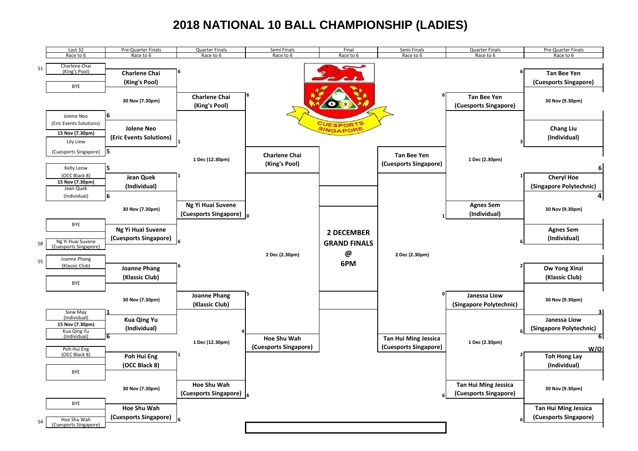## **2018 NATIONAL 10 BALL CHAMPIONSHIP (LADIES)**